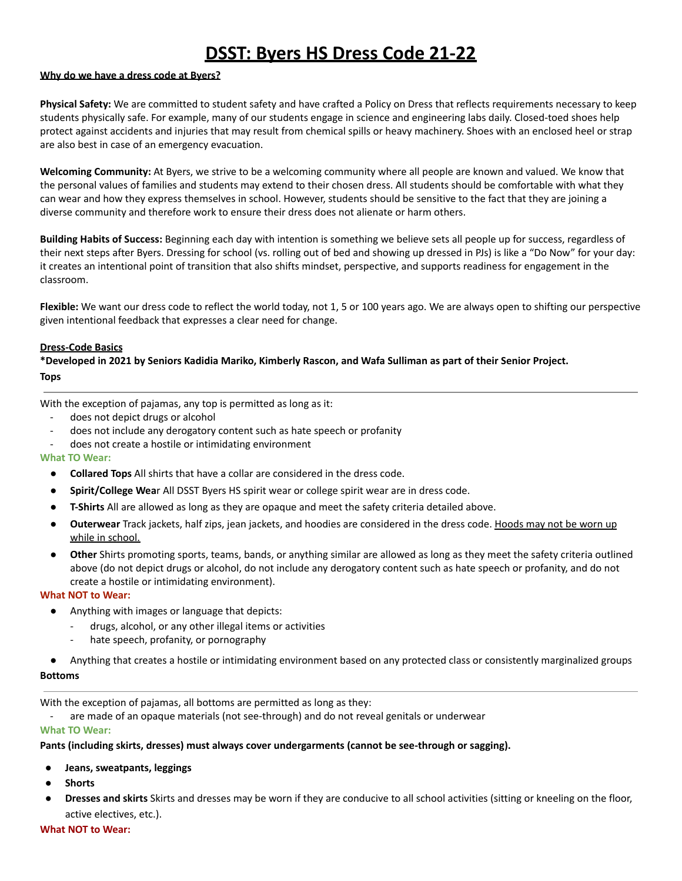# **DSST: Byers HS Dress Code 21-22**

## **Why do we have a dress code at Byers?**

**Physical Safety:** We are committed to student safety and have crafted a Policy on Dress that reflects requirements necessary to keep students physically safe. For example, many of our students engage in science and engineering labs daily. Closed-toed shoes help protect against accidents and injuries that may result from chemical spills or heavy machinery. Shoes with an enclosed heel or strap are also best in case of an emergency evacuation.

**Welcoming Community:** At Byers, we strive to be a welcoming community where all people are known and valued. We know that the personal values of families and students may extend to their chosen dress. All students should be comfortable with what they can wear and how they express themselves in school. However, students should be sensitive to the fact that they are joining a diverse community and therefore work to ensure their dress does not alienate or harm others.

**Building Habits of Success:** Beginning each day with intention is something we believe sets all people up for success, regardless of their next steps after Byers. Dressing for school (vs. rolling out of bed and showing up dressed in PJs) is like a "Do Now" for your day: it creates an intentional point of transition that also shifts mindset, perspective, and supports readiness for engagement in the classroom.

**Flexible:** We want our dress code to reflect the world today, not 1, 5 or 100 years ago. We are always open to shifting our perspective given intentional feedback that expresses a clear need for change.

### **Dress-Code Basics**

\*Developed in 2021 by Seniors Kadidia Mariko, Kimberly Rascon, and Wafa Sulliman as part of their Senior Project. **Tops**

With the exception of pajamas, any top is permitted as long as it:

- does not depict drugs or alcohol
- does not include any derogatory content such as hate speech or profanity
- does not create a hostile or intimidating environment

#### **What TO Wear:**

- **Collared Tops** All shirts that have a collar are considered in the dress code.
- **Spirit/College Wea**r All DSST Byers HS spirit wear or college spirit wear are in dress code.
- **T-Shirts** All are allowed as long as they are opaque and meet the safety criteria detailed above.
- **Outerwear** Track jackets, half zips, jean jackets, and hoodies are considered in the dress code. Hoods may not be worn up while in school.
- **Other** Shirts promoting sports, teams, bands, or anything similar are allowed as long as they meet the safety criteria outlined above (do not depict drugs or alcohol, do not include any derogatory content such as hate speech or profanity, and do not create a hostile or intimidating environment).

#### **What NOT to Wear:**

- Anything with images or language that depicts:
	- drugs, alcohol, or any other illegal items or activities
	- hate speech, profanity, or pornography
- Anything that creates a hostile or intimidating environment based on any protected class or consistently marginalized groups

**Bottoms**

With the exception of pajamas, all bottoms are permitted as long as they:

are made of an opaque materials (not see-through) and do not reveal genitals or underwear

### **What TO Wear:**

#### **Pants (including skirts, dresses) must always cover undergarments (cannot be see-through or sagging).**

- **Jeans, sweatpants, leggings**
- **Shorts**
- **Dresses and skirts** Skirts and dresses may be worn if they are conducive to all school activities (sitting or kneeling on the floor, active electives, etc.).

**What NOT to Wear:**